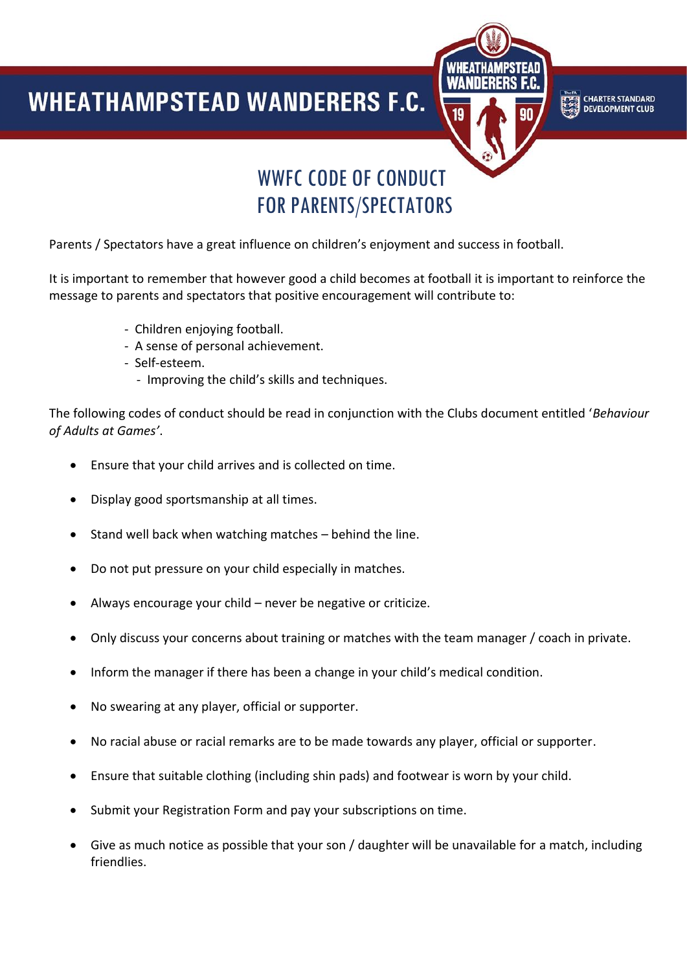## **WHEATHAMPSTEAD WANDERERS F.C.**



## WWFC CODE OF CONDUCT FOR PARENTS/SPECTATORS

Parents / Spectators have a great influence on children's enjoyment and success in football.

It is important to remember that however good a child becomes at football it is important to reinforce the message to parents and spectators that positive encouragement will contribute to:

- Children enjoying football.
- A sense of personal achievement.
- Self-esteem.

Ī

- Improving the child's skills and techniques.

The following codes of conduct should be read in conjunction with the Clubs document entitled '*Behaviour of Adults at Games'*.

- Ensure that your child arrives and is collected on time.
- Display good sportsmanship at all times.
- Stand well back when watching matches behind the line.
- Do not put pressure on your child especially in matches.
- Always encourage your child never be negative or criticize.
- Only discuss your concerns about training or matches with the team manager / coach in private.
- Inform the manager if there has been a change in your child's medical condition.
- No swearing at any player, official or supporter.
- No racial abuse or racial remarks are to be made towards any player, official or supporter.
- Ensure that suitable clothing (including shin pads) and footwear is worn by your child.
- Submit your Registration Form and pay your subscriptions on time.
- Give as much notice as possible that your son / daughter will be unavailable for a match, including friendlies.